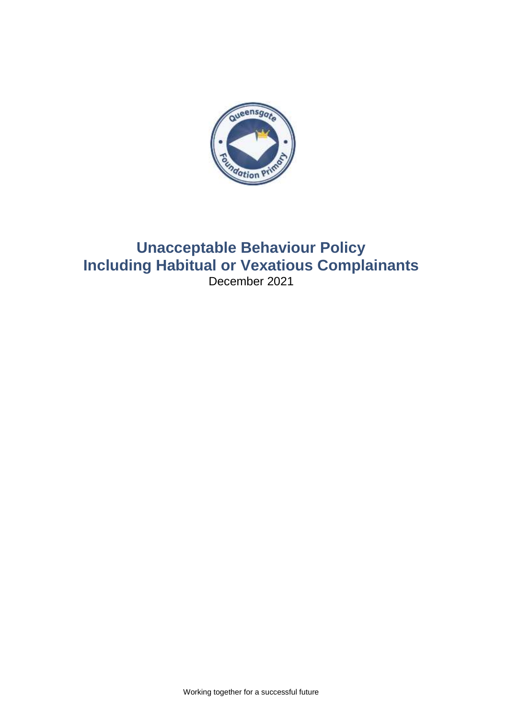

# **Unacceptable Behaviour Policy Including Habitual or Vexatious Complainants** December 2021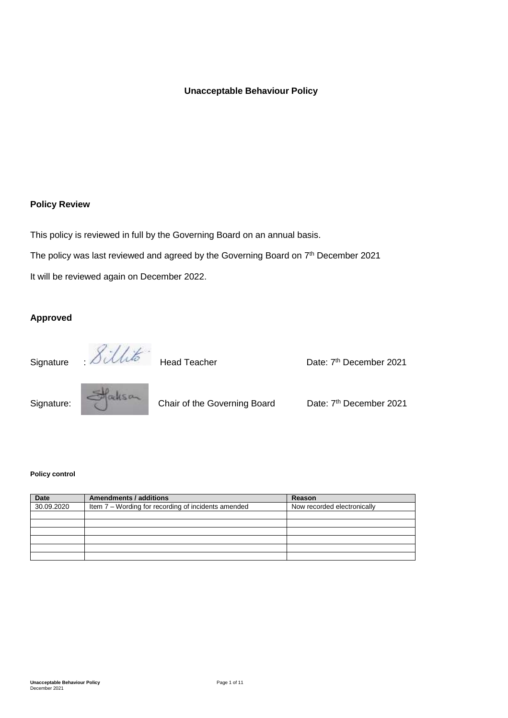## **Unacceptable Behaviour Policy**

## **Policy Review**

This policy is reviewed in full by the Governing Board on an annual basis.

The policy was last reviewed and agreed by the Governing Board on 7<sup>th</sup> December 2021

It will be reviewed again on December 2022.

## **Approved**

Signature : *OUWW* Head Teacher **Date: 7<sup>th</sup> December 2021** 



Signature: Chair of the Governing Board Date: 7<sup>th</sup> December 2021

#### **Policy control**

| <b>Date</b> | Amendments / additions                              | Reason                      |
|-------------|-----------------------------------------------------|-----------------------------|
| 30.09.2020  | Item 7 - Wording for recording of incidents amended | Now recorded electronically |
|             |                                                     |                             |
|             |                                                     |                             |
|             |                                                     |                             |
|             |                                                     |                             |
|             |                                                     |                             |
|             |                                                     |                             |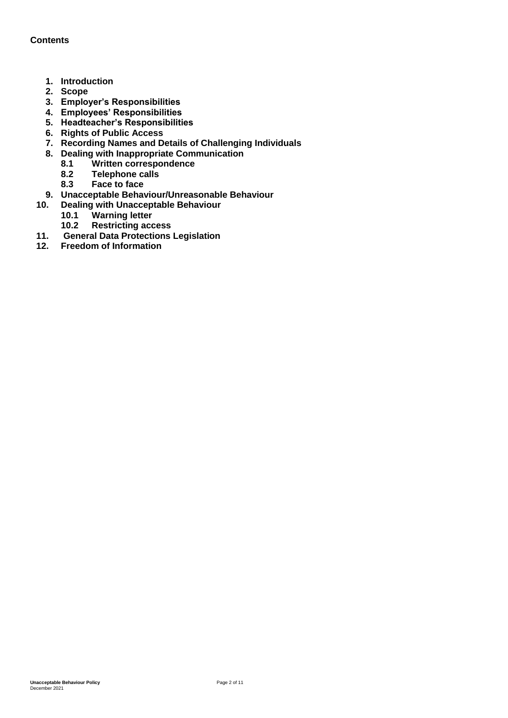## **Contents**

- **1. Introduction**
- **2. Scope**
- **3. Employer's Responsibilities**
- **4. Employees' Responsibilities**
- **5. Headteacher's Responsibilities**
- **6. Rights of Public Access**
- **7. Recording Names and Details of Challenging Individuals**
- **8. Dealing with Inappropriate Communication**
	- **8.1 Written correspondence**
	- **8.2 Telephone calls**
	- **8.3 Face to face**
- **9. Unacceptable Behaviour/Unreasonable Behaviour**
	- **10. Dealing with Unacceptable Behaviour**
		- **10.1 Warning letter**
		- **10.2 Restricting access**
- **11. General Data Protections Legislation**
- **12. Freedom of Information**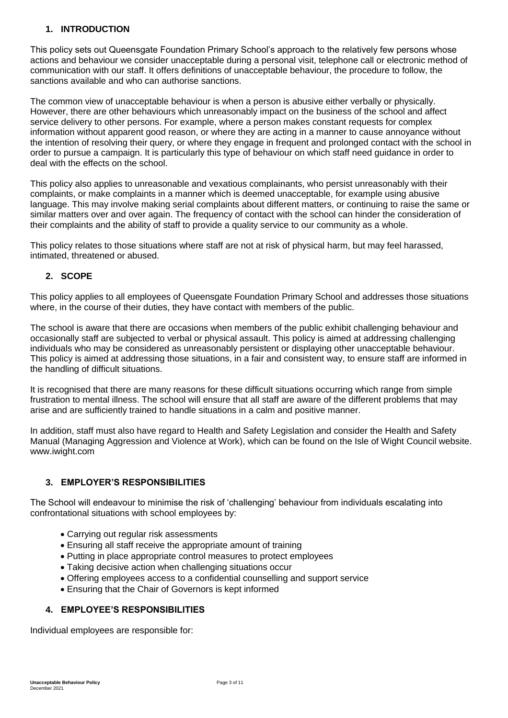## **1. INTRODUCTION**

This policy sets out Queensgate Foundation Primary School's approach to the relatively few persons whose actions and behaviour we consider unacceptable during a personal visit, telephone call or electronic method of communication with our staff. It offers definitions of unacceptable behaviour, the procedure to follow, the sanctions available and who can authorise sanctions.

The common view of unacceptable behaviour is when a person is abusive either verbally or physically. However, there are other behaviours which unreasonably impact on the business of the school and affect service delivery to other persons. For example, where a person makes constant requests for complex information without apparent good reason, or where they are acting in a manner to cause annoyance without the intention of resolving their query, or where they engage in frequent and prolonged contact with the school in order to pursue a campaign. It is particularly this type of behaviour on which staff need guidance in order to deal with the effects on the school.

This policy also applies to unreasonable and vexatious complainants, who persist unreasonably with their complaints, or make complaints in a manner which is deemed unacceptable, for example using abusive language. This may involve making serial complaints about different matters, or continuing to raise the same or similar matters over and over again. The frequency of contact with the school can hinder the consideration of their complaints and the ability of staff to provide a quality service to our community as a whole.

This policy relates to those situations where staff are not at risk of physical harm, but may feel harassed, intimated, threatened or abused.

## **2. SCOPE**

This policy applies to all employees of Queensgate Foundation Primary School and addresses those situations where, in the course of their duties, they have contact with members of the public.

The school is aware that there are occasions when members of the public exhibit challenging behaviour and occasionally staff are subjected to verbal or physical assault. This policy is aimed at addressing challenging individuals who may be considered as unreasonably persistent or displaying other unacceptable behaviour. This policy is aimed at addressing those situations, in a fair and consistent way, to ensure staff are informed in the handling of difficult situations.

It is recognised that there are many reasons for these difficult situations occurring which range from simple frustration to mental illness. The school will ensure that all staff are aware of the different problems that may arise and are sufficiently trained to handle situations in a calm and positive manner.

In addition, staff must also have regard to Health and Safety Legislation and consider the Health and Safety Manual (Managing Aggression and Violence at Work), which can be found on the Isle of Wight Council website. www.iwight.com

## **3. EMPLOYER'S RESPONSIBILITIES**

The School will endeavour to minimise the risk of 'challenging' behaviour from individuals escalating into confrontational situations with school employees by:

- Carrying out regular risk assessments
- Ensuring all staff receive the appropriate amount of training
- Putting in place appropriate control measures to protect employees
- Taking decisive action when challenging situations occur
- Offering employees access to a confidential counselling and support service
- Ensuring that the Chair of Governors is kept informed

## **4. EMPLOYEE'S RESPONSIBILITIES**

Individual employees are responsible for: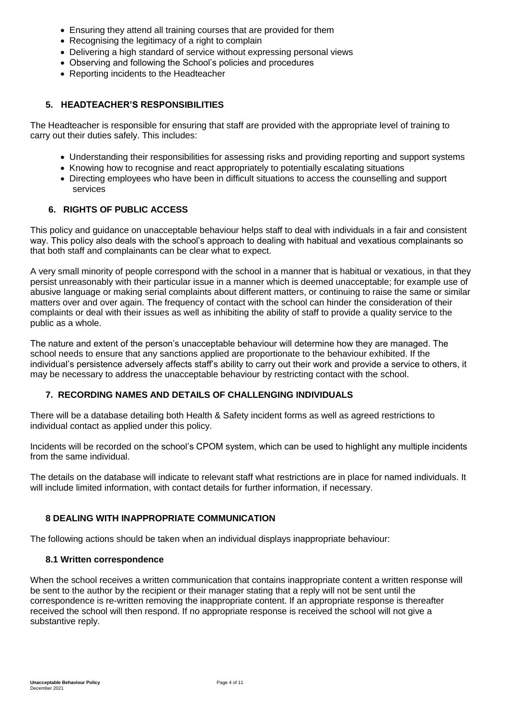- Ensuring they attend all training courses that are provided for them
- Recognising the legitimacy of a right to complain
- Delivering a high standard of service without expressing personal views
- Observing and following the School's policies and procedures
- Reporting incidents to the Headteacher

## **5. HEADTEACHER'S RESPONSIBILITIES**

The Headteacher is responsible for ensuring that staff are provided with the appropriate level of training to carry out their duties safely. This includes:

- Understanding their responsibilities for assessing risks and providing reporting and support systems
- Knowing how to recognise and react appropriately to potentially escalating situations
- Directing employees who have been in difficult situations to access the counselling and support services

## **6. RIGHTS OF PUBLIC ACCESS**

This policy and guidance on unacceptable behaviour helps staff to deal with individuals in a fair and consistent way. This policy also deals with the school's approach to dealing with habitual and vexatious complainants so that both staff and complainants can be clear what to expect.

A very small minority of people correspond with the school in a manner that is habitual or vexatious, in that they persist unreasonably with their particular issue in a manner which is deemed unacceptable; for example use of abusive language or making serial complaints about different matters, or continuing to raise the same or similar matters over and over again. The frequency of contact with the school can hinder the consideration of their complaints or deal with their issues as well as inhibiting the ability of staff to provide a quality service to the public as a whole.

The nature and extent of the person's unacceptable behaviour will determine how they are managed. The school needs to ensure that any sanctions applied are proportionate to the behaviour exhibited. If the individual's persistence adversely affects staff's ability to carry out their work and provide a service to others, it may be necessary to address the unacceptable behaviour by restricting contact with the school.

#### **7. RECORDING NAMES AND DETAILS OF CHALLENGING INDIVIDUALS**

There will be a database detailing both Health & Safety incident forms as well as agreed restrictions to individual contact as applied under this policy.

Incidents will be recorded on the school's CPOM system, which can be used to highlight any multiple incidents from the same individual.

The details on the database will indicate to relevant staff what restrictions are in place for named individuals. It will include limited information, with contact details for further information, if necessary.

#### **8 DEALING WITH INAPPROPRIATE COMMUNICATION**

The following actions should be taken when an individual displays inappropriate behaviour:

#### **8.1 Written correspondence**

When the school receives a written communication that contains inappropriate content a written response will be sent to the author by the recipient or their manager stating that a reply will not be sent until the correspondence is re-written removing the inappropriate content. If an appropriate response is thereafter received the school will then respond. If no appropriate response is received the school will not give a substantive reply.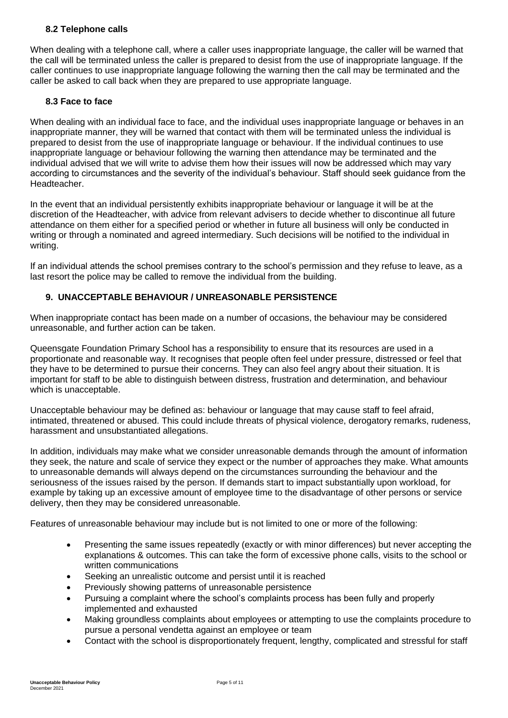## **8.2 Telephone calls**

When dealing with a telephone call, where a caller uses inappropriate language, the caller will be warned that the call will be terminated unless the caller is prepared to desist from the use of inappropriate language. If the caller continues to use inappropriate language following the warning then the call may be terminated and the caller be asked to call back when they are prepared to use appropriate language.

#### **8.3 Face to face**

When dealing with an individual face to face, and the individual uses inappropriate language or behaves in an inappropriate manner, they will be warned that contact with them will be terminated unless the individual is prepared to desist from the use of inappropriate language or behaviour. If the individual continues to use inappropriate language or behaviour following the warning then attendance may be terminated and the individual advised that we will write to advise them how their issues will now be addressed which may vary according to circumstances and the severity of the individual's behaviour. Staff should seek guidance from the Headteacher.

In the event that an individual persistently exhibits inappropriate behaviour or language it will be at the discretion of the Headteacher, with advice from relevant advisers to decide whether to discontinue all future attendance on them either for a specified period or whether in future all business will only be conducted in writing or through a nominated and agreed intermediary. Such decisions will be notified to the individual in writing.

If an individual attends the school premises contrary to the school's permission and they refuse to leave, as a last resort the police may be called to remove the individual from the building.

## **9. UNACCEPTABLE BEHAVIOUR / UNREASONABLE PERSISTENCE**

When inappropriate contact has been made on a number of occasions, the behaviour may be considered unreasonable, and further action can be taken.

Queensgate Foundation Primary School has a responsibility to ensure that its resources are used in a proportionate and reasonable way. It recognises that people often feel under pressure, distressed or feel that they have to be determined to pursue their concerns. They can also feel angry about their situation. It is important for staff to be able to distinguish between distress, frustration and determination, and behaviour which is unacceptable.

Unacceptable behaviour may be defined as: behaviour or language that may cause staff to feel afraid, intimated, threatened or abused. This could include threats of physical violence, derogatory remarks, rudeness, harassment and unsubstantiated allegations.

In addition, individuals may make what we consider unreasonable demands through the amount of information they seek, the nature and scale of service they expect or the number of approaches they make. What amounts to unreasonable demands will always depend on the circumstances surrounding the behaviour and the seriousness of the issues raised by the person. If demands start to impact substantially upon workload, for example by taking up an excessive amount of employee time to the disadvantage of other persons or service delivery, then they may be considered unreasonable.

Features of unreasonable behaviour may include but is not limited to one or more of the following:

- Presenting the same issues repeatedly (exactly or with minor differences) but never accepting the explanations & outcomes. This can take the form of excessive phone calls, visits to the school or written communications
- Seeking an unrealistic outcome and persist until it is reached
- Previously showing patterns of unreasonable persistence
- Pursuing a complaint where the school's complaints process has been fully and properly implemented and exhausted
- Making groundless complaints about employees or attempting to use the complaints procedure to pursue a personal vendetta against an employee or team
- Contact with the school is disproportionately frequent, lengthy, complicated and stressful for staff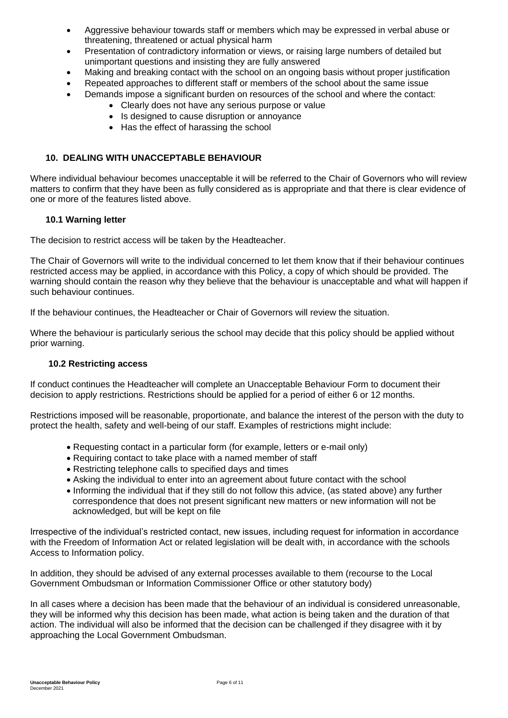- Aggressive behaviour towards staff or members which may be expressed in verbal abuse or threatening, threatened or actual physical harm
- Presentation of contradictory information or views, or raising large numbers of detailed but unimportant questions and insisting they are fully answered
- Making and breaking contact with the school on an ongoing basis without proper justification
- Repeated approaches to different staff or members of the school about the same issue
- Demands impose a significant burden on resources of the school and where the contact:
	- Clearly does not have any serious purpose or value
	- Is designed to cause disruption or annoyance
	- Has the effect of harassing the school

## **10. DEALING WITH UNACCEPTABLE BEHAVIOUR**

Where individual behaviour becomes unacceptable it will be referred to the Chair of Governors who will review matters to confirm that they have been as fully considered as is appropriate and that there is clear evidence of one or more of the features listed above.

#### **10.1 Warning letter**

The decision to restrict access will be taken by the Headteacher.

The Chair of Governors will write to the individual concerned to let them know that if their behaviour continues restricted access may be applied, in accordance with this Policy, a copy of which should be provided. The warning should contain the reason why they believe that the behaviour is unacceptable and what will happen if such behaviour continues.

If the behaviour continues, the Headteacher or Chair of Governors will review the situation.

Where the behaviour is particularly serious the school may decide that this policy should be applied without prior warning.

#### **10.2 Restricting access**

If conduct continues the Headteacher will complete an Unacceptable Behaviour Form to document their decision to apply restrictions. Restrictions should be applied for a period of either 6 or 12 months.

Restrictions imposed will be reasonable, proportionate, and balance the interest of the person with the duty to protect the health, safety and well-being of our staff. Examples of restrictions might include:

- Requesting contact in a particular form (for example, letters or e-mail only)
- Requiring contact to take place with a named member of staff
- Restricting telephone calls to specified days and times
- Asking the individual to enter into an agreement about future contact with the school
- Informing the individual that if they still do not follow this advice, (as stated above) any further correspondence that does not present significant new matters or new information will not be acknowledged, but will be kept on file

Irrespective of the individual's restricted contact, new issues, including request for information in accordance with the Freedom of Information Act or related legislation will be dealt with, in accordance with the schools Access to Information policy.

In addition, they should be advised of any external processes available to them (recourse to the Local Government Ombudsman or Information Commissioner Office or other statutory body)

In all cases where a decision has been made that the behaviour of an individual is considered unreasonable, they will be informed why this decision has been made, what action is being taken and the duration of that action. The individual will also be informed that the decision can be challenged if they disagree with it by approaching the Local Government Ombudsman.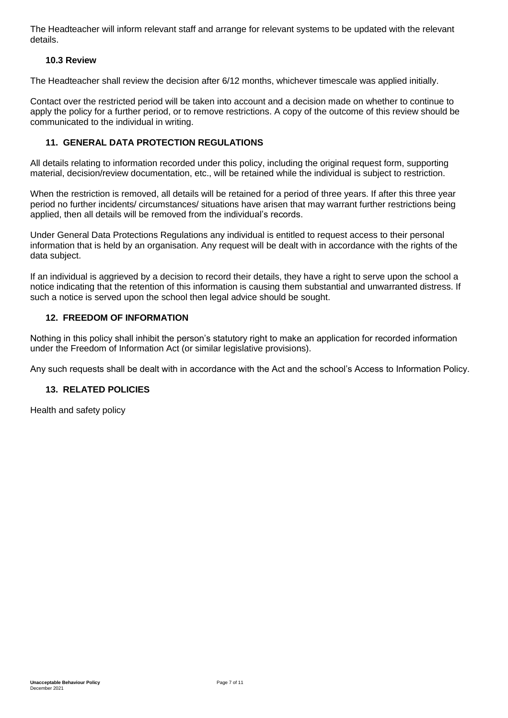The Headteacher will inform relevant staff and arrange for relevant systems to be updated with the relevant details.

## **10.3 Review**

The Headteacher shall review the decision after 6/12 months, whichever timescale was applied initially.

Contact over the restricted period will be taken into account and a decision made on whether to continue to apply the policy for a further period, or to remove restrictions. A copy of the outcome of this review should be communicated to the individual in writing.

## **11. GENERAL DATA PROTECTION REGULATIONS**

All details relating to information recorded under this policy, including the original request form, supporting material, decision/review documentation, etc., will be retained while the individual is subject to restriction.

When the restriction is removed, all details will be retained for a period of three years. If after this three year period no further incidents/ circumstances/ situations have arisen that may warrant further restrictions being applied, then all details will be removed from the individual's records.

Under General Data Protections Regulations any individual is entitled to request access to their personal information that is held by an organisation. Any request will be dealt with in accordance with the rights of the data subject.

If an individual is aggrieved by a decision to record their details, they have a right to serve upon the school a notice indicating that the retention of this information is causing them substantial and unwarranted distress. If such a notice is served upon the school then legal advice should be sought.

#### **12. FREEDOM OF INFORMATION**

Nothing in this policy shall inhibit the person's statutory right to make an application for recorded information under the Freedom of Information Act (or similar legislative provisions).

Any such requests shall be dealt with in accordance with the Act and the school's Access to Information Policy.

## **13. RELATED POLICIES**

Health and safety policy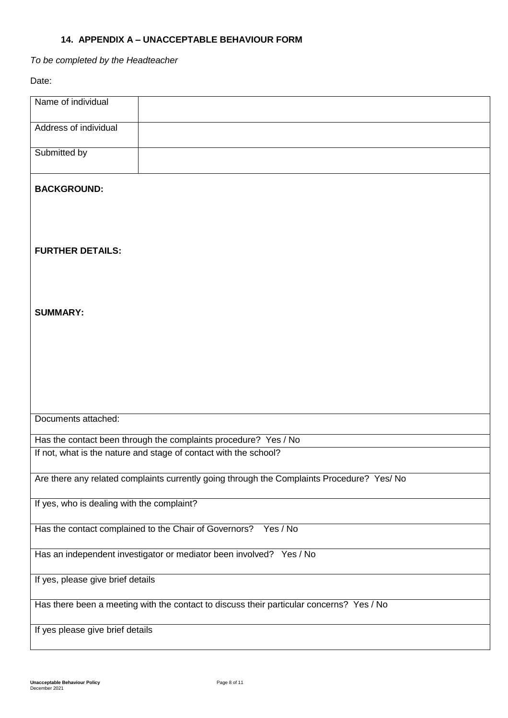## **14. APPENDIX A – UNACCEPTABLE BEHAVIOUR FORM**

*To be completed by the Headteacher* 

Date:

| Name of individual                                                                         |
|--------------------------------------------------------------------------------------------|
| Address of individual                                                                      |
| Submitted by                                                                               |
| <b>BACKGROUND:</b>                                                                         |
|                                                                                            |
| <b>FURTHER DETAILS:</b>                                                                    |
|                                                                                            |
| <b>SUMMARY:</b>                                                                            |
|                                                                                            |
|                                                                                            |
|                                                                                            |
| Documents attached:                                                                        |
| Has the contact been through the complaints procedure? Yes / No                            |
| If not, what is the nature and stage of contact with the school?                           |
| Are there any related complaints currently going through the Complaints Procedure? Yes/ No |
| If yes, who is dealing with the complaint?                                                 |
| Has the contact complained to the Chair of Governors? Yes / No                             |
| Has an independent investigator or mediator been involved? Yes / No                        |
| If yes, please give brief details                                                          |
| Has there been a meeting with the contact to discuss their particular concerns? Yes / No   |
| If yes please give brief details                                                           |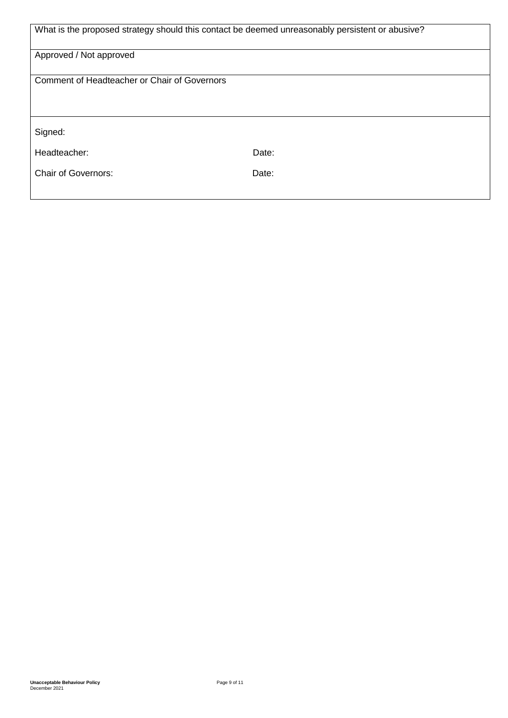| What is the proposed strategy should this contact be deemed unreasonably persistent or abusive? |       |  |  |
|-------------------------------------------------------------------------------------------------|-------|--|--|
| Approved / Not approved                                                                         |       |  |  |
| Comment of Headteacher or Chair of Governors                                                    |       |  |  |
|                                                                                                 |       |  |  |
| Signed:                                                                                         |       |  |  |
| Headteacher:                                                                                    | Date: |  |  |
| <b>Chair of Governors:</b>                                                                      | Date: |  |  |
|                                                                                                 |       |  |  |

Ш